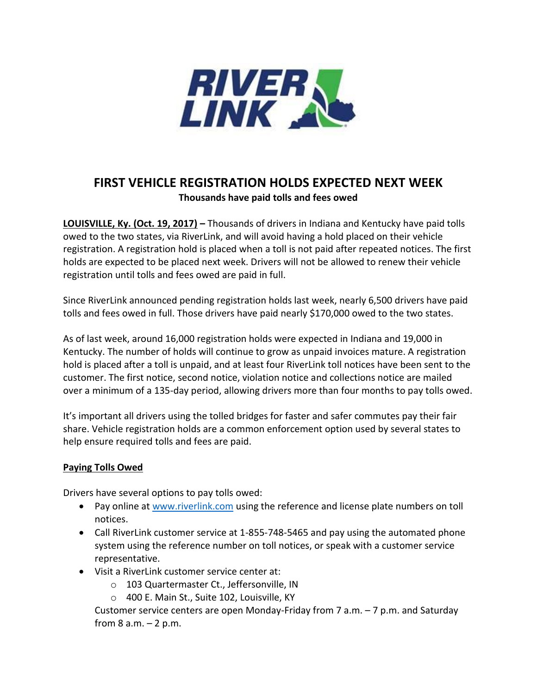

## **FIRST VEHICLE REGISTRATION HOLDS EXPECTED NEXT WEEK Thousands have paid tolls and fees owed**

**LOUISVILLE, Ky. (Oct. 19, 2017) –** Thousands of drivers in Indiana and Kentucky have paid tolls owed to the two states, via RiverLink, and will avoid having a hold placed on their vehicle registration. A registration hold is placed when a toll is not paid after repeated notices. The first holds are expected to be placed next week. Drivers will not be allowed to renew their vehicle registration until tolls and fees owed are paid in full.

Since RiverLink announced pending registration holds last week, nearly 6,500 drivers have paid tolls and fees owed in full. Those drivers have paid nearly \$170,000 owed to the two states.

As of last week, around 16,000 registration holds were expected in Indiana and 19,000 in Kentucky. The number of holds will continue to grow as unpaid invoices mature. A registration hold is placed after a toll is unpaid, and at least four RiverLink toll notices have been sent to the customer. The first notice, second notice, violation notice and collections notice are mailed over a minimum of a 135-day period, allowing drivers more than four months to pay tolls owed.

It's important all drivers using the tolled bridges for faster and safer commutes pay their fair share. Vehicle registration holds are a common enforcement option used by several states to help ensure required tolls and fees are paid.

## **Paying Tolls Owed**

Drivers have several options to pay tolls owed:

- Pay online a[t www.riverlink.com](http://www.riverlink.com/) using the reference and license plate numbers on toll notices.
- Call RiverLink customer service at 1-855-748-5465 and pay using the automated phone system using the reference number on toll notices, or speak with a customer service representative.
- Visit a RiverLink customer service center at:
	- o 103 Quartermaster Ct., Jeffersonville, IN
	- o 400 E. Main St., Suite 102, Louisville, KY

Customer service centers are open Monday-Friday from 7 a.m. – 7 p.m. and Saturday from  $8$  a.m.  $-2$  p.m.